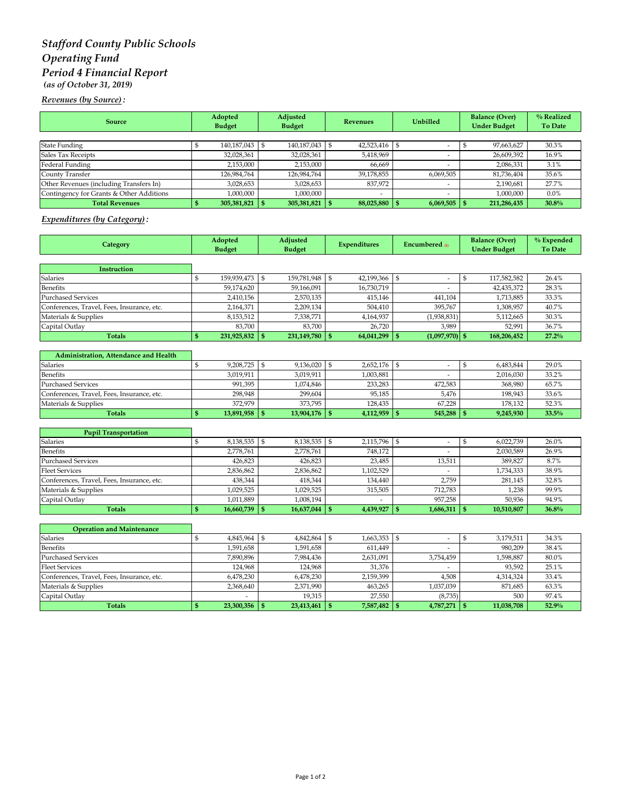# *Stafford County Public Schools Operating Fund Period 4 Financial Report (as of October 31, 2019)*

*Revenues (by Source) :*

| <b>Source</b>                            | Adopted<br><b>Budget</b> | Adjusted<br><b>Budget</b> | <b>Revenues</b> | <b>Unbilled</b>          | <b>Balance (Over)</b><br><b>Under Budget</b> | % Realized<br><b>To Date</b> |
|------------------------------------------|--------------------------|---------------------------|-----------------|--------------------------|----------------------------------------------|------------------------------|
|                                          |                          |                           |                 |                          |                                              |                              |
| <b>State Funding</b>                     | 140,187,043 \$           | 140,187,043 \$            | 42,523,416      |                          | 97,663,627                                   | 30.3%                        |
| Sales Tax Receipts                       | 32,028,361               | 32,028,361                | 5,418,969       |                          | 26,609,392                                   | 16.9%                        |
| Federal Funding                          | 2,153,000                | 2,153,000                 | 66.669          |                          | 2,086,331                                    | 3.1%                         |
| County Transfer                          | 126,984,764              | 126,984,764               | 39,178,855      | 6,069,505                | 81,736,404                                   | 35.6%                        |
| Other Revenues (including Transfers In)  | 3,028,653                | 3,028,653                 | 837,972         | $\overline{\phantom{a}}$ | 2,190,681                                    | 27.7%                        |
| Contingency for Grants & Other Additions | 1,000,000                | 1,000,000                 |                 |                          | 1,000,000                                    | $0.0\%$                      |
| <b>Total Revenues</b>                    | $305,381,821$ \$         | 305,381,821               | 88,025,880      | $6,069,505$ \ \ \$       | 211,286,435                                  | 30.8%                        |

### *Expenditures (by Category) :*

| Category                                   | Adopted<br><b>Budget</b> |                 | Adjusted<br><b>Budget</b> |                 | <b>Expenditures</b> |              | Encumbered m                     |              | <b>Balance (Over)</b><br><b>Under Budget</b> | % Expended<br><b>To Date</b> |
|--------------------------------------------|--------------------------|-----------------|---------------------------|-----------------|---------------------|--------------|----------------------------------|--------------|----------------------------------------------|------------------------------|
|                                            |                          |                 |                           |                 |                     |              |                                  |              |                                              |                              |
| <b>Instruction</b>                         |                          |                 |                           |                 |                     |              |                                  |              |                                              |                              |
| Salaries                                   | $\mathbb{S}$             | 159,939,473     | $\mathfrak{s}$            | 159,781,948     | \$                  | 42,199,366   | \$<br>$\overline{\phantom{a}}$   | $\mathbb{S}$ | 117,582,582                                  | 26.4%                        |
| <b>Benefits</b>                            |                          | 59,174,620      |                           | 59,166,091      |                     | 16,730,719   |                                  |              | 42,435,372                                   | 28.3%                        |
| <b>Purchased Services</b>                  |                          | 2,410,156       |                           | 2,570,135       |                     | 415,146      | 441,104                          |              | 1,713,885                                    | 33.3%                        |
| Conferences, Travel, Fees, Insurance, etc. |                          | 2,164,371       |                           | 2,209,134       |                     | 504,410      | 395,767                          |              | 1,308,957                                    | 40.7%                        |
| Materials & Supplies                       |                          | 8,153,512       |                           | 7,338,771       |                     | 4,164,937    | (1,938,831)                      |              | 5,112,665                                    | 30.3%                        |
| Capital Outlay                             |                          | 83,700          |                           | 83,700          |                     | 26,720       | 3,989                            |              | 52,991                                       | 36.7%                        |
| <b>Totals</b>                              | \$                       | 231,925,832 \$  |                           | 231,149,780     | $\mathbf{s}$        | 64,041,299   | $\mathbf{s}$<br>$(1,097,970)$ \$ |              | 168,206,452                                  | 27.2%                        |
| Administration, Attendance and Health      |                          |                 |                           |                 |                     |              |                                  |              |                                              |                              |
| <b>Salaries</b>                            | \$                       | 9,208,725 \$    |                           | 9,136,020       | $\mathfrak{s}$      | 2,652,176    | \$<br>$\overline{\phantom{a}}$   | \$           | 6,483,844                                    | 29.0%                        |
| <b>Benefits</b>                            |                          | 3,019,911       |                           | 3,019,911       |                     | 1,003,881    |                                  |              | 2,016,030                                    | 33.2%                        |
| <b>Purchased Services</b>                  |                          | 991,395         |                           | 1,074,846       |                     | 233,283      | 472,583                          |              | 368,980                                      | 65.7%                        |
| Conferences, Travel, Fees, Insurance, etc. |                          | 298,948         |                           | 299,604         |                     | 95,185       | 5.476                            |              | 198,943                                      | 33.6%                        |
| Materials & Supplies                       |                          | 372,979         |                           | 373,795         |                     | 128,435      | 67,228                           |              | 178,132                                      | 52.3%                        |
| <b>Totals</b>                              | \$                       | $13,891,958$ \$ |                           | $13,904,176$ \$ |                     | 4,112,959    | $545,288$ \ \$<br>$\mathbf{s}$   |              | 9,245,930                                    | 33.5%                        |
|                                            |                          |                 |                           |                 |                     |              |                                  |              |                                              |                              |
| <b>Pupil Transportation</b>                |                          |                 |                           |                 |                     |              |                                  |              |                                              |                              |
| Salaries                                   | \$                       | 8,138,535 \$    |                           | 8,138,535       | $\vert$ \$          | 2,115,796    | \$<br>$\overline{\phantom{a}}$   | \$           | 6,022,739                                    | 26.0%                        |
| Benefits                                   |                          | 2,778,761       |                           | 2,778,761       |                     | 748,172      | ٠                                |              | 2,030,589                                    | 26.9%                        |
| <b>Purchased Services</b>                  |                          | 426,823         |                           | 426,823         |                     | 23,485       | 13,511                           |              | 389,827                                      | 8.7%                         |
| <b>Fleet Services</b>                      |                          | 2,836,862       |                           | 2,836,862       |                     | 1,102,529    |                                  |              | 1,734,333                                    | 38.9%                        |
| Conferences, Travel, Fees, Insurance, etc. |                          | 438,344         |                           | 418,344         |                     | 134,440      | 2,759                            |              | 281,145                                      | 32.8%                        |
| Materials & Supplies                       |                          | 1,029,525       |                           | 1,029,525       |                     | 315,505      | 712,783                          |              | 1,238                                        | 99.9%                        |
| Capital Outlay                             |                          | 1,011,889       |                           | 1,008,194       |                     |              | 957,258                          |              | 50,936                                       | 94.9%                        |
| <b>Totals</b>                              | \$                       | 16,660,739      | -95                       | 16,637,044      | $\mathbf{s}$        | 4,439,927    | $\mathbf{s}$<br>1,686,311        | $\mathbf{s}$ | 10,510,807                                   | 36.8%                        |
| <b>Operation and Maintenance</b>           |                          |                 |                           |                 |                     |              |                                  |              |                                              |                              |
| <b>Salaries</b>                            | \$                       | 4,845,964 \$    |                           | 4,842,864       | \$                  | 1,663,353    | \$<br>$\overline{\phantom{a}}$   | \$           | 3,179,511                                    | 34.3%                        |
| <b>Benefits</b>                            |                          | 1,591,658       |                           | 1,591,658       |                     | 611,449      | ٠                                |              | 980,209                                      | 38.4%                        |
| <b>Purchased Services</b>                  |                          | 7,890,896       |                           | 7,984,436       |                     | 2,631,091    | 3,754,459                        |              | 1,598,887                                    | 80.0%                        |
| <b>Fleet Services</b>                      |                          | 124,968         |                           | 124,968         |                     | 31,376       | $\frac{1}{2}$                    |              | 93,592                                       | 25.1%                        |
| Conferences, Travel, Fees, Insurance, etc. |                          | 6,478,230       |                           | 6,478,230       |                     | 2,159,399    | 4,508                            |              | 4,314,324                                    | 33.4%                        |
| Materials & Supplies                       |                          | 2,368,640       |                           | 2,371,990       |                     | 463,265      | 1,037,039                        |              | 871,685                                      | 63.3%                        |
| Capital Outlay                             |                          |                 |                           | 19,315          |                     | 27,550       | (8, 735)                         |              | 500                                          | 97.4%                        |
| <b>Totals</b>                              | $\mathbf{s}$             | $23,300,356$ \$ |                           | $23,413,461$ \$ |                     | 7,587,482 \$ | $4,787,271$ \$                   |              | 11,038,708                                   | 52.9%                        |